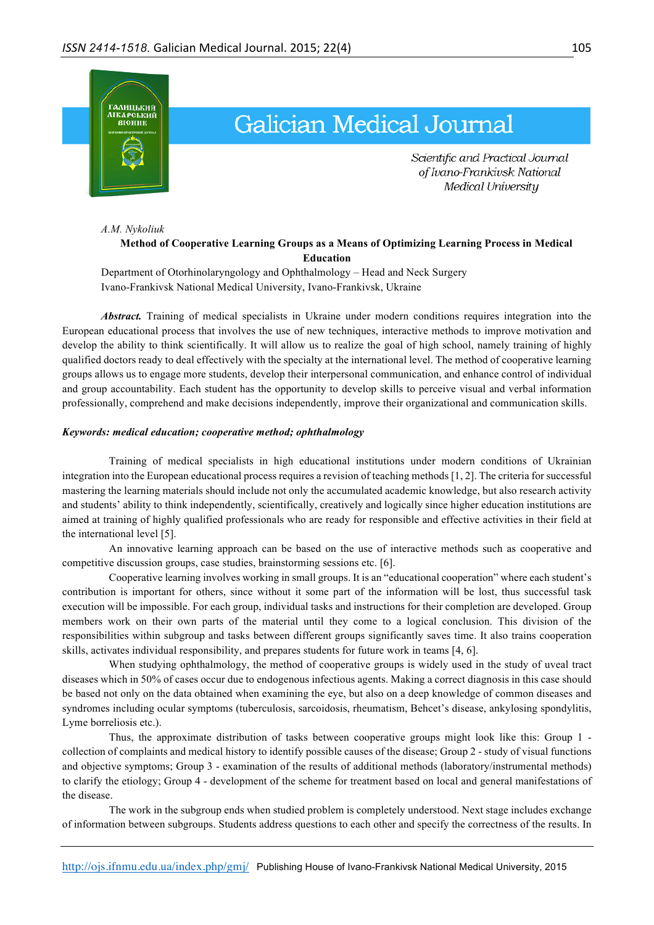

## **Galician Medical Journal**

Scientific and Practical Journal of Ivano-Frankivsk National Medical University

*A.M. Nykoliuk*

## **Method of Cooperative Learning Groups as a Means of Optimizing Learning Process in Medical Education**

Department of Otorhinolaryngology and Ophthalmology – Head and Neck Surgery Ivano-Frankivsk National Medical University, Ivano-Frankivsk, Ukraine

*Abstract.* Training of medical specialists in Ukraine under modern conditions requires integration into the European educational process that involves the use of new techniques, interactive methods to improve motivation and develop the ability to think scientifically. It will allow us to realize the goal of high school, namely training of highly qualified doctors ready to deal effectively with the specialty at the international level. The method of cooperative learning groups allows us to engage more students, develop their interpersonal communication, and enhance control of individual and group accountability. Each student has the opportunity to develop skills to perceive visual and verbal information professionally, comprehend and make decisions independently, improve their organizational and communication skills.

## *Keywords: medical education; cooperative method; ophthalmology*

Training of medical specialists in high educational institutions under modern conditions of Ukrainian integration into the European educational process requires a revision of teaching methods [1, 2]. The criteria for successful mastering the learning materials should include not only the accumulated academic knowledge, but also research activity and students' ability to think independently, scientifically, creatively and logically since higher education institutions are aimed at training of highly qualified professionals who are ready for responsible and effective activities in their field at the international level [5].

An innovative learning approach can be based on the use of interactive methods such as cooperative and competitive discussion groups, case studies, brainstorming sessions etc. [6].

Cooperative learning involves working in small groups. It is an "educational cooperation" where each student's contribution is important for others, since without it some part of the information will be lost, thus successful task execution will be impossible. For each group, individual tasks and instructions for their completion are developed. Group members work on their own parts of the material until they come to a logical conclusion. This division of the responsibilities within subgroup and tasks between different groups significantly saves time. It also trains cooperation skills, activates individual responsibility, and prepares students for future work in teams [4, 6].

When studying ophthalmology, the method of cooperative groups is widely used in the study of uveal tract diseases which in 50% of cases occur due to endogenous infectious agents. Making a correct diagnosis in this case should be based not only on the data obtained when examining the eye, but also on a deep knowledge of common diseases and syndromes including ocular symptoms (tuberculosis, sarcoidosis, rheumatism, Behcet's disease, ankylosing spondylitis, Lyme borreliosis etc.).

Thus, the approximate distribution of tasks between cooperative groups might look like this: Group 1 collection of complaints and medical history to identify possible causes of the disease; Group 2 - study of visual functions and objective symptoms; Group 3 - examination of the results of additional methods (laboratory/instrumental methods) to clarify the etiology; Group 4 - development of the scheme for treatment based on local and general manifestations of the disease.

The work in the subgroup ends when studied problem is completely understood. Next stage includes exchange of information between subgroups. Students address questions to each other and specify the correctness of the results. In